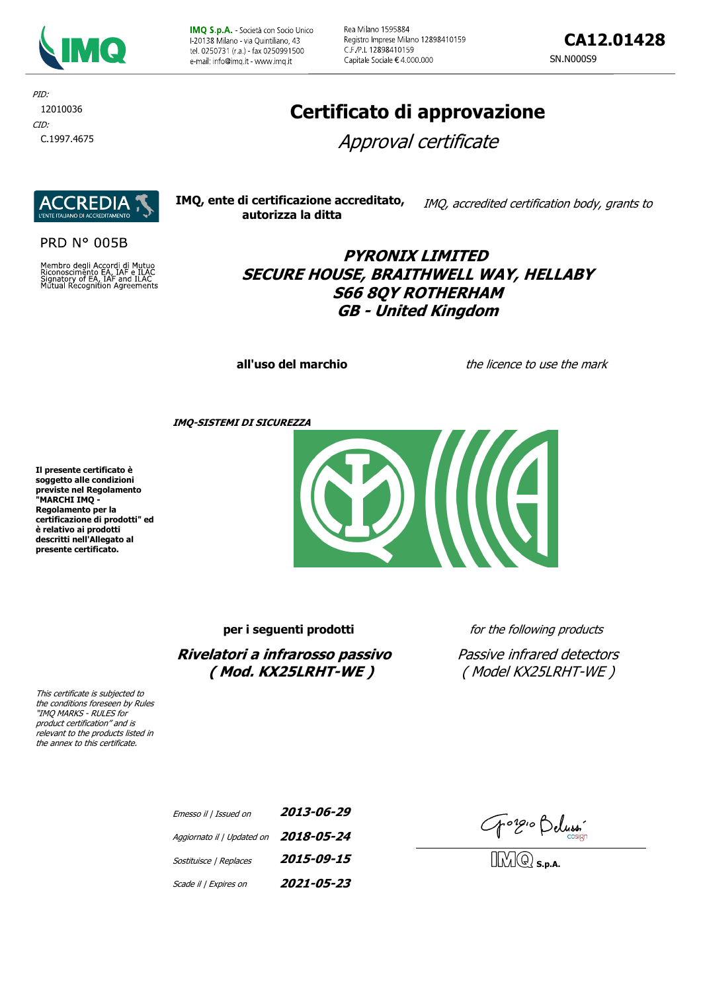

IMQ S.p.A. - Società con Socio Unico F20138 Milano - via Quintiliano, 43 tel. 0250731 (r.a.) - fax 0250991500 e-mail: info@imq.it - www.imq.it

Rea Milano 1595884 Registro Imprese Milano 12898410159 C.F./P.I. 12898410159 Capitale Sociale € 4.000.000

**CA12.01428** SN.N000S9

CID: C.1997.4675 PID: 12010036

# **Certificato di approvazione**

Approval certificate



**PRD N° 005B** 

Membro degli Accordi di Mutuo<br>Riconoscimento EA, IAF e ILAC<br>Signatory of EA, IAF and ILAC<br>Mutual Recognition Agreements



# **PYRONIX LIMITED SECURE HOUSE, BRAITHWELL WAY, HELLABY S66 8QY ROTHERHAM GB - United Kingdom**

**all'uso del marchio** the licence to use the mark

**IMQ-SISTEMI DI SICUREZZA**

**Il presente certificato è soggetto alle condizioni previste nel Regolamento "MARCHI IMQ - Regolamento per la certificazione di prodotti" ed è relativo ai prodotti descritti nell'Allegato al presente certificato.**



 **Rivelatori a infrarosso passivo ( Mod. KX25LRHT-WE )**

**per i seguenti prodotti** *for the following products* 

Passive infrared detectors ( Model KX25LRHT-WE )

This certificate is subjected to the conditions foreseen by Rules "IMQ MARKS - RULES for product certification" and is relevant to the products listed in the annex to this certificate.

| Emesso il   Issued on                       | 2013-06-29 |
|---------------------------------------------|------------|
| Aggiornato il   Updated on $2018 - 05 - 24$ |            |
| Sostituisce   Replaces                      | 2015-09-15 |
| Scade il   Expires on                       | 2021-05-23 |

**Spiele Seluss**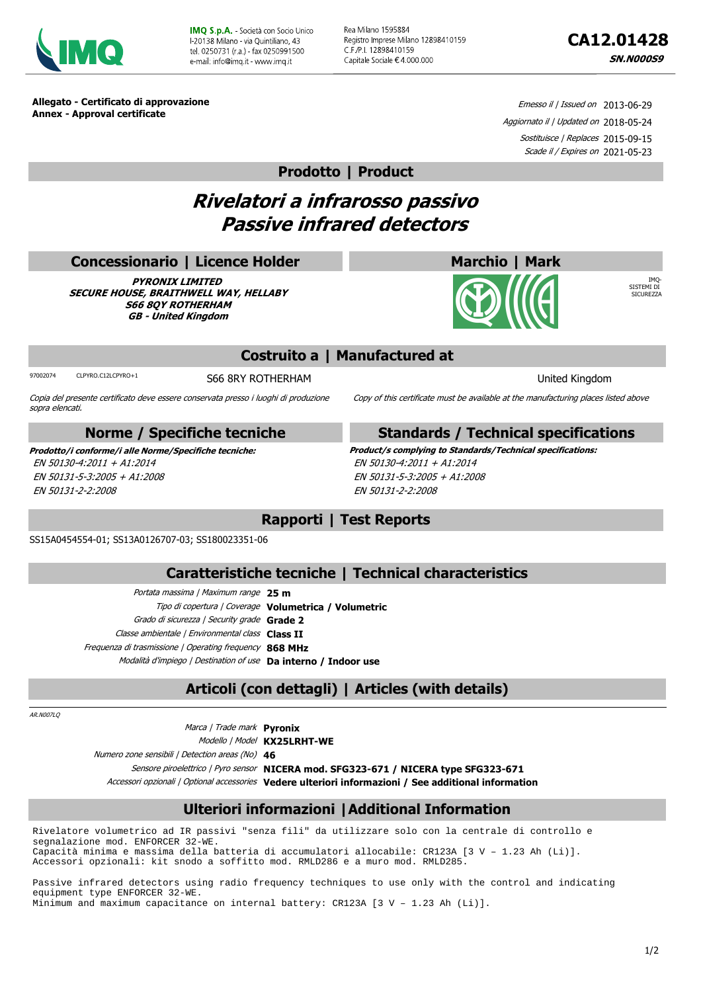

**IMO S.p.A.** - Società con Socio Unico L20138 Milano - via Quintiliano, 43 tel 0250731 (r a) fax 0250991500 e-mail: info@imq it - www.imq.it

Rea Milano 1595884 Registro Imprese Milano 12898410159 C.F./P.I. 12898410159 Capitale Sociale € 4.000.000

IMQ-SISTEMI DI SICUREZZA

**Allegato - Certificato di approvazione Annex - Approval certificate**

Emesso il / Issued on 2013-06-29 Aggiornato il | Updated on 2018-05-24 Sostituisce | Replaces 2015-09-15 Scade il / Expires on 2021-05-23

#### **Prodotto | Product**

# **Rivelatori a infrarosso passivo Passive infrared detectors**

#### **Concessionario | Licence Holder**

**PYRONIX LIMITED SECURE HOUSE, BRAITHWELL WAY, HELLABY S66 8QY ROTHERHAM GB - United Kingdom**

## **Costruito a | Manufactured at**

97002074 CLPYRO.C12LCPYRO+1 S66 8RY ROTHERHAM SOLUTION STORES United Kingdom

Copia del presente certificato deve essere conservata presso i luoghi di produzione sopra elencati.

#### **Norme / Specifiche tecniche**

EN 50130-4:2011 + A1:2014 EN 50131-5-3:2005 + A1:2008 EN 50131-2-2:2008

#### **Standards / Technical specifications**

Copy of this certificate must be available at the manufacturing places listed above

**Marchio | Mark**

**Prodotto/i conforme/i alle Norme/Specifiche tecniche: Product/s complying to Standards/Technical specifications:** EN 50130-4:2011 + A1:2014 EN 50131-5-3:2005 + A1:2008 EN 50131-2-2:2008

## **Rapporti | Test Reports**

SS15A0454554-01; SS13A0126707-03; SS180023351-06

#### **Caratteristiche tecniche | Technical characteristics**

Portata massima | Maximum range **25 m** Tipo di copertura | Coverage **Volumetrica / Volumetric** Grado di sicurezza | Security grade **Grade 2** Classe ambientale | Environmental class **Class II** Frequenza di trasmissione | Operating frequency **868 MHz** Modalità d'impiego | Destination of use **Da interno / Indoor use**

# **Articoli (con dettagli) | Articles (with details)**

AR.N007LQ

Marca | Trade mark **Pyronix**

Modello | Model **KX25LRHT-WE**

Numero zone sensibili | Detection areas (No) **46**

Sensore piroelettrico | Pyro sensor **NICERA mod. SFG323-671 / NICERA type SFG323-671**

Accessori opzionali | Optional accessories **Vedere ulteriori informazioni / See additional information**

# **Ulteriori informazioni |Additional Information**

Rivelatore volumetrico ad IR passivi "senza fili" da utilizzare solo con la centrale di controllo e segnalazione mod. ENFORCER 32-WE. Capacità minima e massima della batteria di accumulatori allocabile: CR123A [3 V – 1.23 Ah (Li)]. Accessori opzionali: kit snodo a soffitto mod. RMLD286 e a muro mod. RMLD285.

Passive infrared detectors using radio frequency techniques to use only with the control and indicating equipment type ENFORCER 32-WE. Minimum and maximum capacitance on internal battery: CR123A [3 V – 1.23 Ah (Li)].